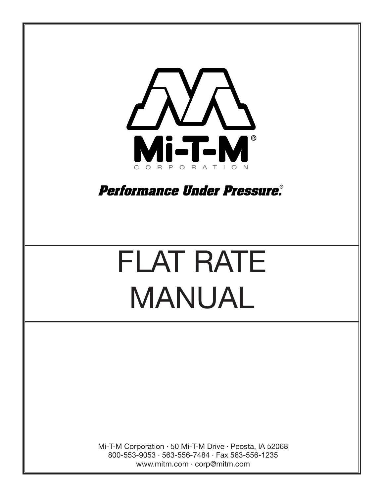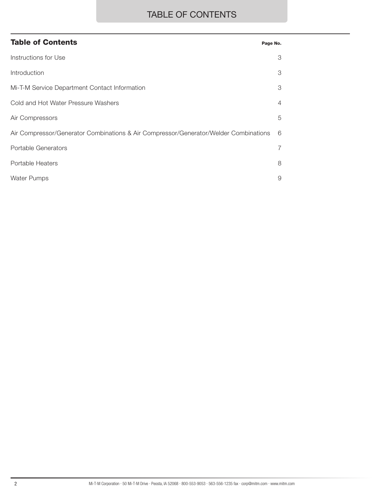# TABLE OF CONTENTS

| <b>Table of Contents</b>                                                             | Page No.       |
|--------------------------------------------------------------------------------------|----------------|
| Instructions for Use                                                                 | 3              |
| Introduction                                                                         | 3              |
| Mi-T-M Service Department Contact Information                                        | 3              |
| Cold and Hot Water Pressure Washers                                                  | $\overline{4}$ |
| Air Compressors                                                                      | 5              |
| Air Compressor/Generator Combinations & Air Compressor/Generator/Welder Combinations | 6              |
| <b>Portable Generators</b>                                                           | 7              |
| Portable Heaters                                                                     | 8              |
| Water Pumps                                                                          | 9              |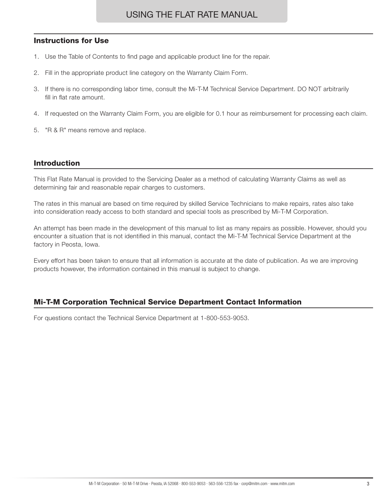#### Instructions for Use

- 1. Use the Table of Contents to find page and applicable product line for the repair.
- 2. Fill in the appropriate product line category on the Warranty Claim Form.
- 3. If there is no corresponding labor time, consult the Mi-T-M Technical Service Department. DO NOT arbitrarily fill in flat rate amount.
- 4. If requested on the Warranty Claim Form, you are eligible for 0.1 hour as reimbursement for processing each claim.
- 5. "R & R" means remove and replace.

#### Introduction

This Flat Rate Manual is provided to the Servicing Dealer as a method of calculating Warranty Claims as well as determining fair and reasonable repair charges to customers.

The rates in this manual are based on time required by skilled Service Technicians to make repairs, rates also take into consideration ready access to both standard and special tools as prescribed by Mi-T-M Corporation.

An attempt has been made in the development of this manual to list as many repairs as possible. However, should you encounter a situation that is not identified in this manual, contact the Mi-T-M Technical Service Department at the factory in Peosta, Iowa.

Every effort has been taken to ensure that all information is accurate at the date of publication. As we are improving products however, the information contained in this manual is subject to change.

#### Mi-T-M Corporation Technical Service Department Contact Information

For questions contact the Technical Service Department at 1-800-553-9053.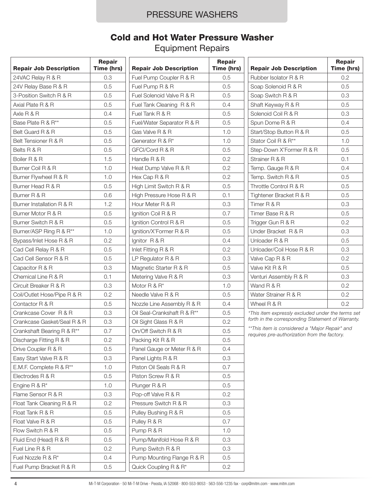# PRESSURE WASHERS

# Cold and Hot Water Pressure Washer

Equipment Repairs

| <b>Repair Job Description</b> | Repair<br>Time (hrs) | <b>Repair Job Description</b>           | <b>Repair</b><br>Time (hrs) | <b>Repair Job Description</b>                                                                  | <b>Repair</b><br>Time (hrs) |
|-------------------------------|----------------------|-----------------------------------------|-----------------------------|------------------------------------------------------------------------------------------------|-----------------------------|
| 24VAC Relay R & R             | 0.3                  | Fuel Pump Coupler R & R                 | 0.5                         | Rubber Isolator R & R                                                                          | 0.2                         |
| 24V Relay Base R & R          | 0.5                  | Fuel Pump R & R                         | 0.5                         | Soap Solenoid R & R                                                                            | 0.5                         |
| 3-Position Switch R & R       | 0.5                  | Fuel Solenoid Valve R & R               | 0.5                         | Soap Switch R & R                                                                              | 0.3                         |
| Axial Plate R & R             | 0.5                  | Fuel Tank Cleaning R & R                | 0.4                         | Shaft Keyway R & R                                                                             | 0.5                         |
| Axle R & R                    | 0.4                  | Fuel Tank R & R                         | 0.5                         | Solenoid Coil R & R                                                                            | 0.3                         |
| Base Plate R & R**            | 0.5                  | Fuel/Water Separator R & R              | 0.5                         | Spun Dome R & R                                                                                | 0.4                         |
| Belt Guard R & R              | 0.5                  | Gas Valve R & R                         | 1.0                         | Start/Stop Button R & R                                                                        | 0.5                         |
| Belt Tensioner R & R          | 0.5                  | Generator R & R*                        | 1.0                         | Stator Coil R & R**                                                                            | 1.0                         |
| Belts R & R                   | 0.5                  | GFCI/Cord R & R                         | 0.5                         | Step-Down X'Former R & R                                                                       | 0.5                         |
| Boiler R & R                  | 1.5                  | Handle R & R                            | 0.2                         | Strainer R & R                                                                                 | 0.1                         |
| Burner Coil R & R             | 1.0                  | Heat Dump Valve R & R                   | 0.2                         | Temp. Gauge R & R                                                                              | 0.4                         |
| Burner Flywheel R & R         | 1.0                  | Hex Cap R & R                           | 0.2                         | Temp. Switch R & R                                                                             | 0.5                         |
| Burner Head R & R             | 0.5                  | High Limit Switch R & R                 | 0.5                         | Throttle Control R & R                                                                         | 0.5                         |
| Burner R & R                  | 0.6                  | High Pressure Hose R & R                | 0.1                         | Tightener Bracket R & R                                                                        | 0.5                         |
| Burner Installation R & R     | 1.2                  | Hour Meter R & R                        | 0.3                         | Timer R & R                                                                                    | 0.3                         |
| Burner Motor R & R            | 0.5                  | Ignition Coil R & R                     | 0.7                         | Timer Base R & R                                                                               | 0.5                         |
| Burner Switch R & R           | 0.5                  | Ignition Control R & R                  | 0.5                         | Trigger Gun R & R                                                                              | 0.2                         |
| Burner/ASP Ring R & R**       | 1.0                  | Ignition/X'Former R & R                 | 0.5                         | Under Bracket R & R                                                                            | 0.3                         |
| Bypass/Inlet Hose R & R       | 0.2                  | Ignitor R & R                           | 0.4                         | Unloader R & R                                                                                 | 0.5                         |
| Cad Cell Relay R & R          | 0.5                  | Inlet Fitting R & R                     | 0.2                         | Unloader/Coil Hose R & R                                                                       | 0.3                         |
| Cad Cell Sensor R & R         | 0.5                  | LP Regulator R & R                      | 0.3                         | Valve Cap R & R                                                                                | 0.2                         |
| Capacitor R & R               | 0.3                  | Magnetic Starter R & R                  | 0.5                         | Valve Kit R & R                                                                                | 0.5                         |
| Chemical Line R & R           | 0.1                  | Metering Valve R & R                    | 0.3                         | Venturi Assembly R & R                                                                         | 0.3                         |
| Circuit Breaker R & R         | 0.3                  | Motor $R$ & $R^*$                       | 1.0                         | Wand R & R                                                                                     | 0.2                         |
| Coil/Outlet Hose/Pipe R & R   | 0.2                  | Needle Valve R & R                      | 0.5                         | Water Strainer R & R                                                                           | 0.2                         |
| Contactor R & R               | 0.5                  | Nozzle Line Assembly R & R              | 0.4                         | Wheel R & R                                                                                    | 0.2                         |
| Crankcase Cover R & R         | 0.3                  | Oil Seal-Crankshaft R & R <sup>**</sup> | 0.5                         | *This item expressly excluded under the terms set                                              |                             |
| Crankcase Gasket/Seal R & R   | 0.3                  | Oil Sight Glass R & R                   | 0.2                         | forth in the corresponding Statement of Warranty.                                              |                             |
| Crankshaft Bearing R & R**    | 0.7                  | On/Off Switch R & R                     | 0.5                         | **This item is considered a "Major Repair" and<br>requires pre-authorization from the factory. |                             |
| Discharge Fitting R & R       | 0.2                  | Packing Kit R & R                       | 0.5                         |                                                                                                |                             |
| Drive Coupler R & R           | 0.5                  | Panel Gauge or Meter R & R              | 0.4                         |                                                                                                |                             |
| Easy Start Valve R & R        | 0.3                  | Panel Lights R & R                      | 0.3                         |                                                                                                |                             |
| E.M.F. Complete R & R**       | 1.0                  | Piston Oil Seals R & R                  | 0.7                         |                                                                                                |                             |
| Electrodes R & R              | 0.5                  | Piston Screw R & R                      | 0.5                         |                                                                                                |                             |
| Engine R & R*                 | 1.0                  | Plunger R & R                           | 0.5                         |                                                                                                |                             |
| Flame Sensor R & R            | 0.3                  | Pop-off Valve R & R                     | 0.2                         |                                                                                                |                             |
| Float Tank Cleaning R & R     | 0.2                  | Pressure Switch R & R                   | 0.3                         |                                                                                                |                             |
| Float Tank R & R              | 0.5                  | Pulley Bushing R & R                    | 0.5                         |                                                                                                |                             |
| Float Valve R & R             | 0.5                  | Pulley R & R                            | 0.7                         |                                                                                                |                             |
| Flow Switch R & R             | 0.5                  | Pump R & R                              | 1.0                         |                                                                                                |                             |
| Fluid End (Head) R & R        | 0.5                  | Pump/Manifold Hose R & R                | 0.3                         |                                                                                                |                             |
| Fuel Line R & R               | 0.2                  | Pump Switch R & R                       | 0.3                         |                                                                                                |                             |
| Fuel Nozzle R & R*            | 0.4                  | Pump Mounting Flange R & R              | 0.5                         |                                                                                                |                             |
| Fuel Pump Bracket R & R       | 0.5                  | Quick Coupling R & R*                   | 0.2                         |                                                                                                |                             |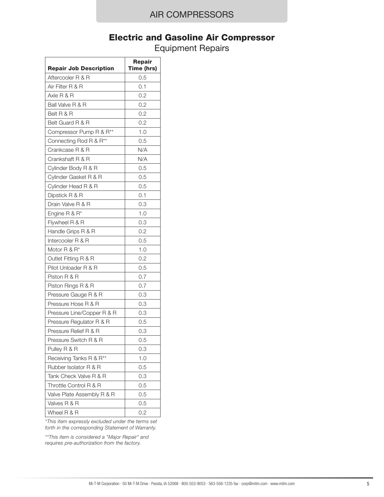#### AIR COMPRESSORS

#### Electric and Gasoline Air Compressor

Equipment Repairs

| <b>Repair Job Description</b>       | Repair<br>Time (hrs) |
|-------------------------------------|----------------------|
| Aftercooler R & R                   | 0.5                  |
| Air Filter R & R                    | 0.1                  |
| Axle R & R                          | 0.2                  |
| Ball Valve R & R                    | 0.2                  |
| Belt R & R                          | 0.2                  |
| Belt Guard R & R                    | 0.2                  |
| Compressor Pump R & R <sup>**</sup> | 1.0                  |
| Connecting Rod R & R**              | 0.5                  |
| Crankcase R & R                     | N/A                  |
| Crankshaft R & R                    | N/A                  |
| Cylinder Body R & R                 | 0.5                  |
| Cylinder Gasket R & R               | 0.5                  |
| Cylinder Head R & R                 | 0.5                  |
| Dipstick R & R                      | 0.1                  |
| Drain Valve R & R                   | 0.3                  |
| Engine R & R*                       | 1.0                  |
| Flywheel R & R                      | 0.3                  |
| Handle Grips R & R                  | 0.2                  |
| Intercooler R & R                   | 0.5                  |
| Motor R & R*                        | 1.0                  |
| Outlet Fitting R & R                | 0.2                  |
| Pilot Unloader R & R                | 0.5                  |
| Piston R & R                        | 0.7                  |
| Piston Rings R & R                  | 0.7                  |
| Pressure Gauge R & R                | 0.3                  |
| Pressure Hose R & R                 | 0.3                  |
| Pressure Line/Copper R & R          | 0.3                  |
| Pressure Regulator R & R            | 0.5                  |
| Pressure Relief R & R               | 0.3                  |
| Pressure Switch R & R               | 0.5                  |
| Pulley R & R                        | 0.3                  |
| Receiving Tanks R & R <sup>**</sup> | 1.0                  |
| Rubber Isolator R & R               | 0.5                  |
| Tank Check Valve R & R              | 0.3                  |
| Throttle Control R & R              | 0.5                  |
| Valve Plate Assembly R & R          | 0.5                  |
| Valves R & R                        | 0.5                  |
| Wheel R & R                         | 0.2                  |

*\*This item expressly excluded under the terms set forth in the corresponding Statement of Warranty.*

*\*\*This item is considered a "Major Repair" and requires pre-authorization from the factory.*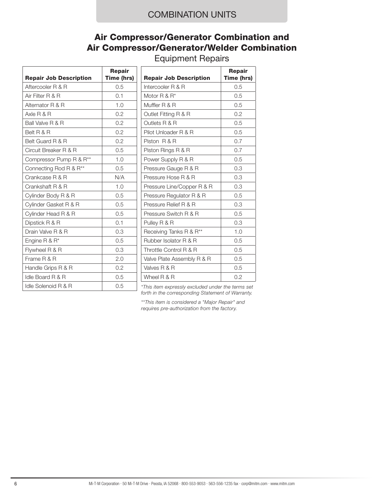#### COMBINATION UNITS

## Air Compressor/Generator Combination and Air Compressor/Generator/Welder Combination

| <b>Repair Job Description</b>       | <b>Repair</b><br>Time (hrs) | <b>Repair Job Description</b>                     | <b>Repair</b><br>Time (hrs) |
|-------------------------------------|-----------------------------|---------------------------------------------------|-----------------------------|
| Aftercooler R & R                   | 0.5                         | Intercooler R & R                                 | 0.5                         |
| Air Filter R & R                    | 0.1                         | Motor $R$ & $R^*$                                 | 0.5                         |
| Alternator R & R                    | 1.0                         | Muffler R & R                                     | 0.5                         |
| Axle R & R                          | 0.2                         | Outlet Fitting R & R                              | 0.2                         |
| Ball Valve R & R                    | 0.2                         | Outlets R & R                                     | 0.5                         |
| Belt R & R                          | 0.2                         | Pilot Unloader R & R                              | 0.5                         |
| Belt Guard R & R                    | 0.2                         | Piston R & R                                      | 0.7                         |
| Circuit Breaker R & R               | 0.5                         | Piston Rings R & R                                | 0.7                         |
| Compressor Pump R & R <sup>**</sup> | 1.0                         | Power Supply R & R                                | 0.5                         |
| Connecting Rod R & R <sup>**</sup>  | 0.5                         | Pressure Gauge R & R                              | 0.3                         |
| Crankcase R & R                     | N/A                         | Pressure Hose R & R                               | 0.3                         |
| Crankshaft R & R                    | 1.0                         | Pressure Line/Copper R & R                        | 0.3                         |
| Cylinder Body R & R                 | 0.5                         | Pressure Regulator R & R                          | 0.5                         |
| Cylinder Gasket R & R               | 0.5                         | Pressure Relief R & R                             | 0.3                         |
| Cylinder Head R & R                 | 0.5                         | Pressure Switch R & R                             | 0.5                         |
| Dipstick R & R                      | 0.1                         | Pulley R & R                                      | 0.3                         |
| Drain Valve R & R                   | 0.3                         | Receiving Tanks R & R <sup>**</sup>               | 1.0                         |
| Engine R & R*                       | 0.5                         | Rubber Isolator R & R                             | 0.5                         |
| Flywheel R & R                      | 0.3                         | Throttle Control R & R                            | 0.5                         |
| Frame R & R                         | 2.0                         | Valve Plate Assembly R & R                        | 0.5                         |
| Handle Grips R & R                  | 0.2                         | Valves R & R                                      | 0.5                         |
| Idle Board R & R                    | 0.5                         | Wheel R & R                                       | 0.2                         |
| Idle Solenoid R & R                 | 0.5                         | *This item expressly excluded under the terms set |                             |

Equipment Repairs

*\*This item expressly excluded under the terms set forth in the corresponding Statement of Warranty.*

*\*\*This item is considered a "Major Repair" and requires pre-authorization from the factory.*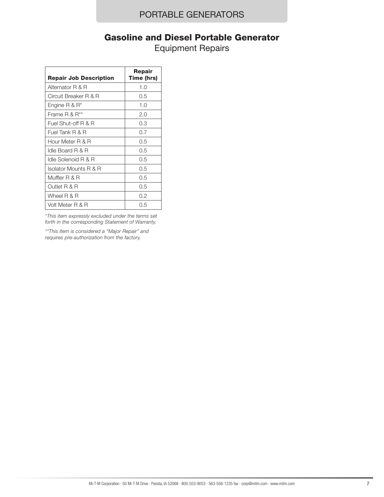## PORTABLE GENERATORS

#### Gasoline and Diesel Portable Generator

Equipment Repairs

| <b>Repair Job Description</b> | Repair<br>Time (hrs) |
|-------------------------------|----------------------|
| Alternator R & R              | 1.0                  |
| Circuit Breaker R & R         | 0.5                  |
| Engine R & $R^*$              | 1.0                  |
| Frame R & R**                 | 2.0                  |
| Fuel Shut-off R & R           | 0.3                  |
| Fuel Tank R & R               | 0.7                  |
| Hour Meter R & R              | 0.5                  |
| Idle Board R & R              | 0.5                  |
| Idle Solenoid R & R           | 0.5                  |
| Isolator Mounts R & R         | 0.5                  |
| Muffler R & R                 | 0.5                  |
| Outlet R & R                  | 0.5                  |
| Wheel R & R                   | 0.2                  |
| Volt Meter R & R              | 0.5                  |

*\*This item expressly excluded under the terms set forth in the corresponding Statement of Warranty.*

*\*\*This item is considered a "Major Repair" and requires pre-authorization from the factory.*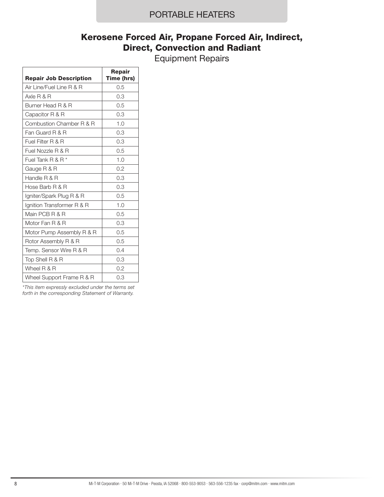## PORTABLE HEATERS

# Kerosene Forced Air, Propane Forced Air, Indirect, Direct, Convection and Radiant

Equipment Repairs

| <b>Repair Job Description</b> | Repair<br>Time (hrs) |
|-------------------------------|----------------------|
| Air Line/Fuel Line R & R      | 0.5                  |
| Axle R & R                    | 0.3                  |
| Burner Head R & R             | 0.5                  |
| Capacitor R & R               | 0.3                  |
| Combustion Chamber R & R      | 1.0                  |
| Fan Guard R & R               | 0.3                  |
| Fuel Filter R & R             | 0.3                  |
| Fuel Nozzle R & R             | 0.5                  |
| Fuel Tank R & R $*$           | 1.0                  |
| Gauge R & R                   | 0.2                  |
| Handle R & R                  | 0.3                  |
| Hose Barb R & R               | 0.3                  |
| Igniter/Spark Plug R & R      | 0.5                  |
| Ignition Transformer R & R    | 1.0                  |
| Main PCB R & R                | 0.5                  |
| Motor Fan R & R               | 0.3                  |
| Motor Pump Assembly R & R     | 0.5                  |
| Rotor Assembly R & R          | 0.5                  |
| Temp. Sensor Wire R & R       | 0.4                  |
| Top Shell R & R               | 0.3                  |
| Wheel R & R                   | 0.2                  |
| Wheel Support Frame R & R     | 0.3                  |

*\*This item expressly excluded under the terms set forth in the corresponding Statement of Warranty.*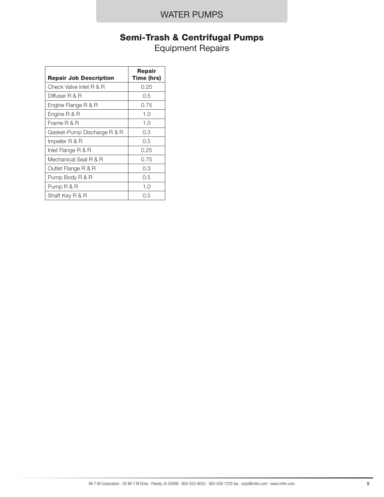# WATER PUMPS

# Semi-Trash & Centrifugal Pumps

Equipment Repairs

| <b>Repair Job Description</b> | Repair<br>Time (hrs) |
|-------------------------------|----------------------|
| Check Valve Inlet R & R       | 0.25                 |
| Diffuser R & R                | 0.5                  |
| Engine Flange R & R           | 0.75                 |
| Engine R & R                  | 1.O                  |
| Frame R & R                   | 1.0                  |
| Gasket-Pump Discharge R & R   | 0.3                  |
| lmpeller R & R                | 0.5                  |
| Inlet Flange R & R            | 0.25                 |
| Mechanical Seal R & R         | 0.75                 |
| Outlet Flange R & R           | 0.3                  |
| Pump Body R & R               | 0.5                  |
| Pump R & R                    | 1.0                  |
| Shaft Key R & R               | 0.5                  |